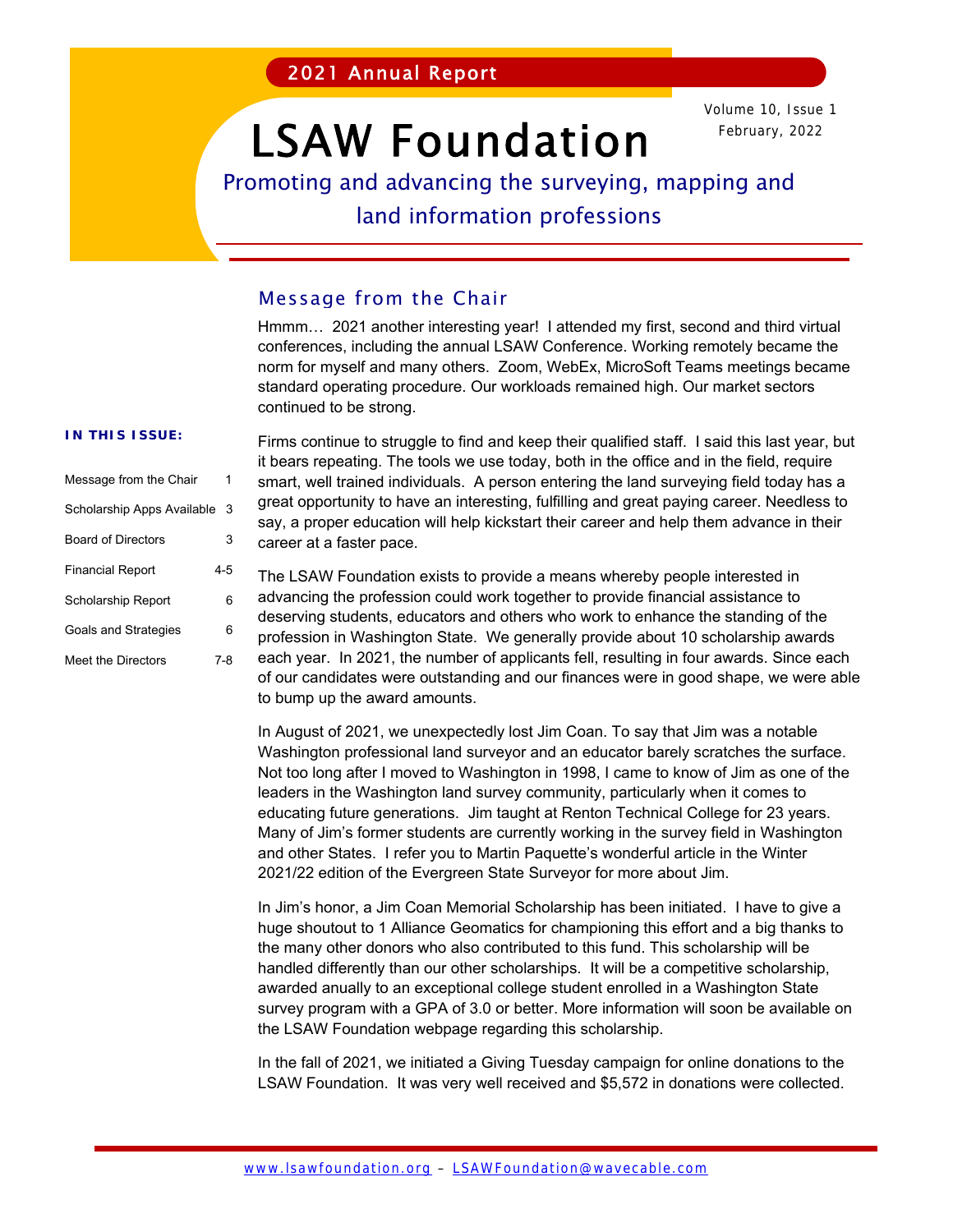# LSAW Foundation

Volume 10, Issue 1 February, 2022

### Promoting and advancing the surveying, mapping and

land information professions

#### Message from the Chair

Hmmm… 2021 another interesting year! I attended my first, second and third virtual conferences, including the annual LSAW Conference. Working remotely became the norm for myself and many others. Zoom, WebEx, MicroSoft Teams meetings became standard operating procedure. Our workloads remained high. Our market sectors continued to be strong.

#### **IN THIS ISSUE:**

| Message from the Chair     |     |
|----------------------------|-----|
| Scholarship Apps Available | 3   |
| <b>Board of Directors</b>  | 3   |
| <b>Financial Report</b>    | 4-5 |
| Scholarship Report         | 6   |
| Goals and Strategies       | 6   |
| Meet the Directors         | 7-8 |

Firms continue to struggle to find and keep their qualified staff. I said this last year, but it bears repeating. The tools we use today, both in the office and in the field, require smart, well trained individuals. A person entering the land surveying field today has a great opportunity to have an interesting, fulfilling and great paying career. Needless to say, a proper education will help kickstart their career and help them advance in their career at a faster pace.

The LSAW Foundation exists to provide a means whereby people interested in advancing the profession could work together to provide financial assistance to deserving students, educators and others who work to enhance the standing of the profession in Washington State. We generally provide about 10 scholarship awards each year. In 2021, the number of applicants fell, resulting in four awards. Since each of our candidates were outstanding and our finances were in good shape, we were able to bump up the award amounts.

In August of 2021, we unexpectedly lost Jim Coan. To say that Jim was a notable Washington professional land surveyor and an educator barely scratches the surface. Not too long after I moved to Washington in 1998, I came to know of Jim as one of the leaders in the Washington land survey community, particularly when it comes to educating future generations. Jim taught at Renton Technical College for 23 years. Many of Jim's former students are currently working in the survey field in Washington and other States. I refer you to Martin Paquette's wonderful article in the Winter 2021/22 edition of the Evergreen State Surveyor for more about Jim.

In Jim's honor, a Jim Coan Memorial Scholarship has been initiated. I have to give a huge shoutout to 1 Alliance Geomatics for championing this effort and a big thanks to the many other donors who also contributed to this fund. This scholarship will be handled differently than our other scholarships. It will be a competitive scholarship, awarded anually to an exceptional college student enrolled in a Washington State survey program with a GPA of 3.0 or better. More information will soon be available on the LSAW Foundation webpage regarding this scholarship.

In the fall of 2021, we initiated a Giving Tuesday campaign for online donations to the LSAW Foundation. It was very well received and \$5,572 in donations were collected.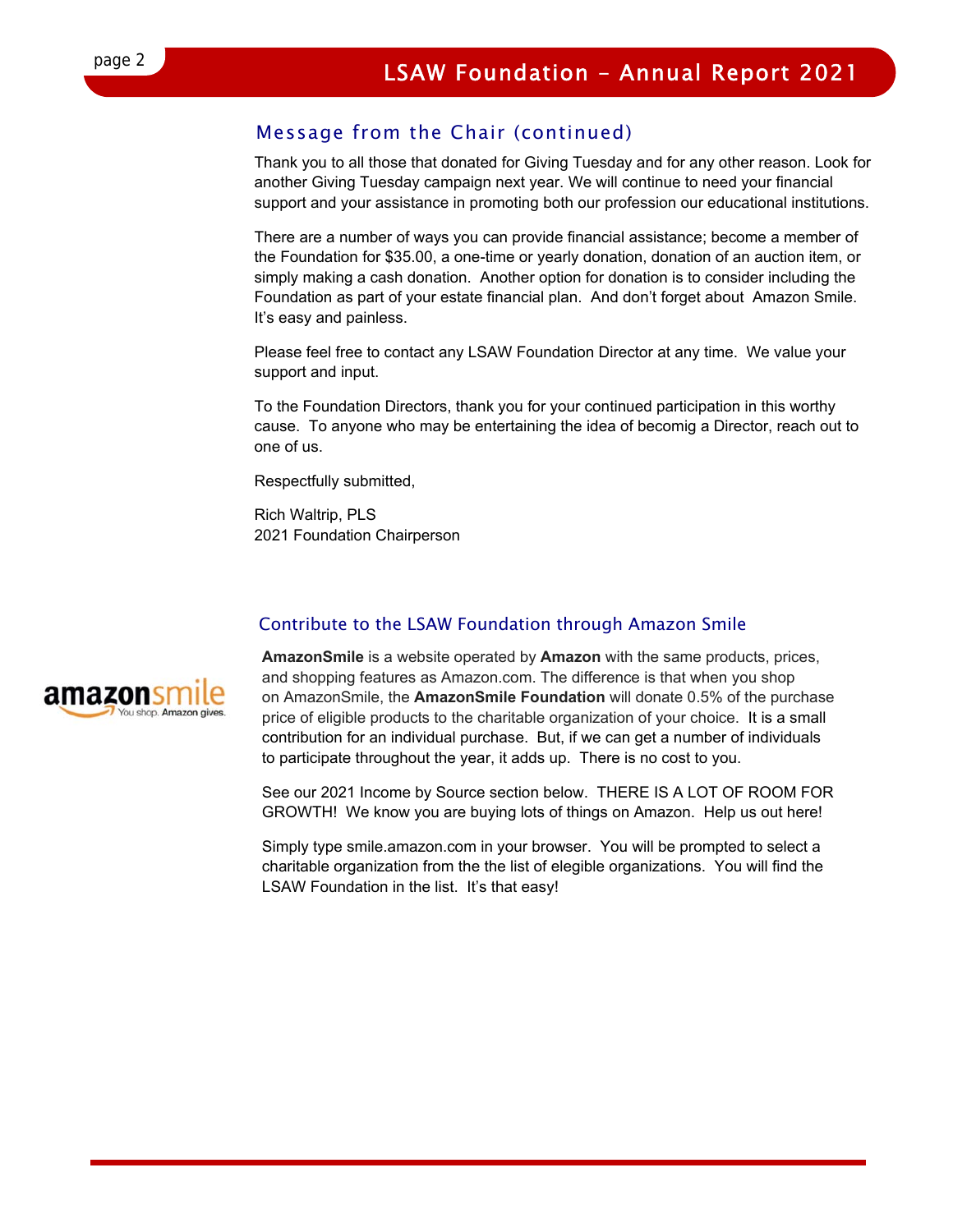#### Message from the Chair (continued)

Thank you to all those that donated for Giving Tuesday and for any other reason. Look for another Giving Tuesday campaign next year. We will continue to need your financial support and your assistance in promoting both our profession our educational institutions.

There are a number of ways you can provide financial assistance; become a member of the Foundation for \$35.00, a one-time or yearly donation, donation of an auction item, or simply making a cash donation. Another option for donation is to consider including the Foundation as part of your estate financial plan. And don't forget about Amazon Smile. It's easy and painless.

Please feel free to contact any LSAW Foundation Director at any time. We value your support and input.

To the Foundation Directors, thank you for your continued participation in this worthy cause. To anyone who may be entertaining the idea of becomig a Director, reach out to one of us.

Respectfully submitted,

Rich Waltrip, PLS 2021 Foundation Chairperson

#### Contribute to the LSAW Foundation through Amazon Smile



**AmazonSmile** is a website operated by **Amazon** with the same products, prices, and shopping features as Amazon.com. The difference is that when you shop on AmazonSmile, the **AmazonSmile Foundation** will donate 0.5% of the purchase price of eligible products to the charitable organization of your choice. It is a small contribution for an individual purchase. But, if we can get a number of individuals to participate throughout the year, it adds up. There is no cost to you.

See our 2021 Income by Source section below. THERE IS A LOT OF ROOM FOR GROWTH! We know you are buying lots of things on Amazon. Help us out here!

Simply type smile.amazon.com in your browser. You will be prompted to select a charitable organization from the the list of elegible organizations. You will find the LSAW Foundation in the list. It's that easy!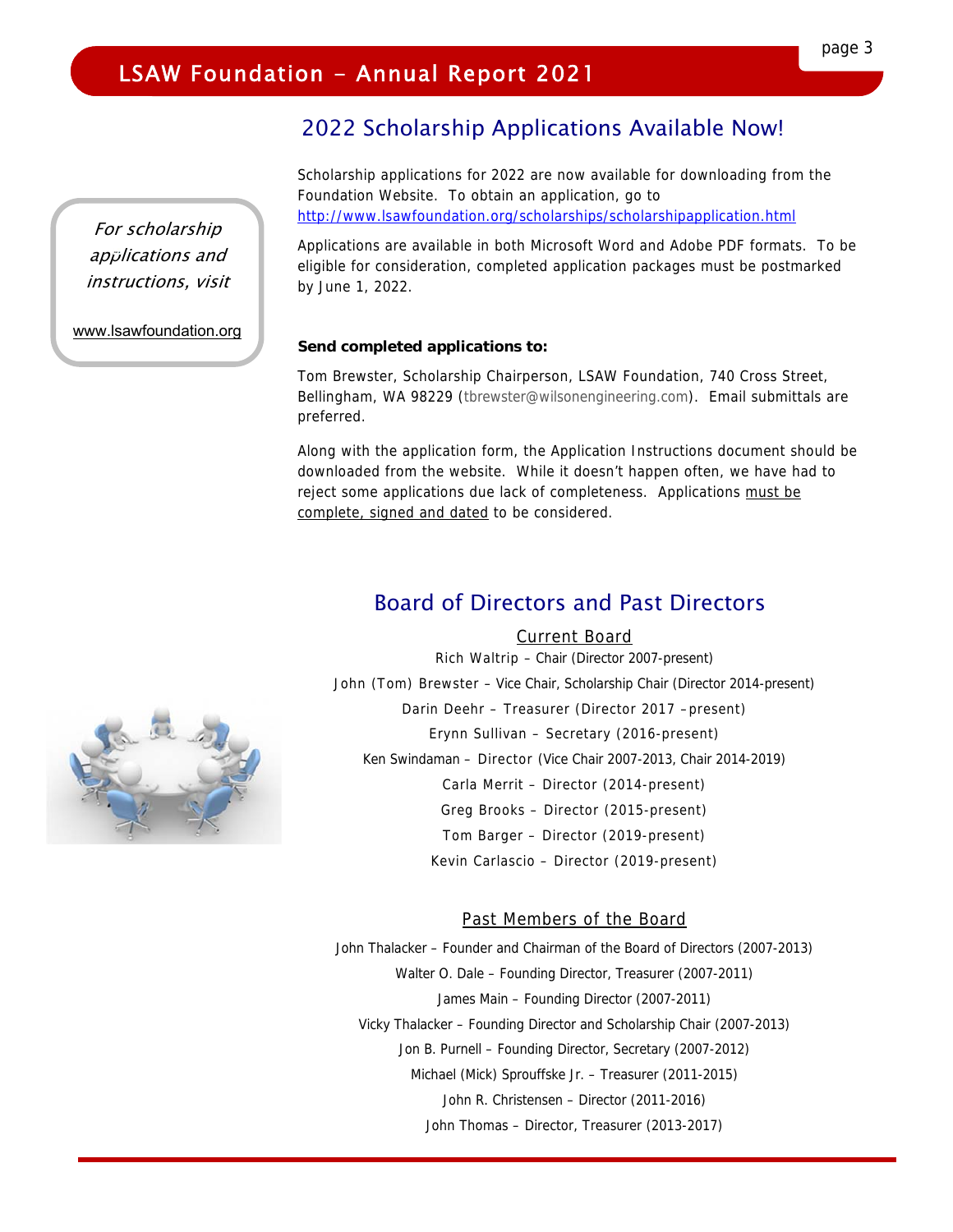#### 2022 Scholarship Applications Available Now!

Scholarship applications for 2022 are now available for downloading from the Foundation Website. To obtain an application, go to http://www.lsawfoundation.org/scholarships/scholarshipapplication.html

Applications are available in both Microsoft Word and Adobe PDF formats. To be eligible for consideration, completed application packages must be postmarked by June 1, 2022.

#### **Send completed applications to:**

Tom Brewster, Scholarship Chairperson, LSAW Foundation, 740 Cross Street, Bellingham, WA 98229 (tbrewster@wilsonengineering.com). Email submittals are preferred.

Along with the application form, the Application Instructions document should be downloaded from the website. While it doesn't happen often, we have had to reject some applications due lack of completeness. Applications must be complete, signed and dated to be considered.

#### Board of Directors and Past Directors

Current Board Rich Waltrip – Chair (Director 2007-present)

John (Tom) Brewster – Vice Chair, Scholarship Chair (Director 2014-present)

Darin Deehr – Treasurer (Director 2017 –present)

Erynn Sullivan – Secretary (2016-present)

Ken Swindaman – Director (Vice Chair 2007-2013, Chair 2014-2019)

Carla Merrit – Director (2014-present)

Greg Brooks – Director (2015-present)

Tom Barger – Director (2019-present)

Kevin Carlascio – Director (2019-present)

#### Past Members of the Board

John Thalacker – Founder and Chairman of the Board of Directors (2007-2013) Walter O. Dale – Founding Director, Treasurer (2007-2011) James Main – Founding Director (2007-2011) Vicky Thalacker – Founding Director and Scholarship Chair (2007-2013) Jon B. Purnell – Founding Director, Secretary (2007-2012) Michael (Mick) Sprouffske Jr. – Treasurer (2011-2015) John R. Christensen – Director (2011-2016) John Thomas – Director, Treasurer (2013-2017)



For scholarship applications and instructions, visit

I

www.lsawfoundation.org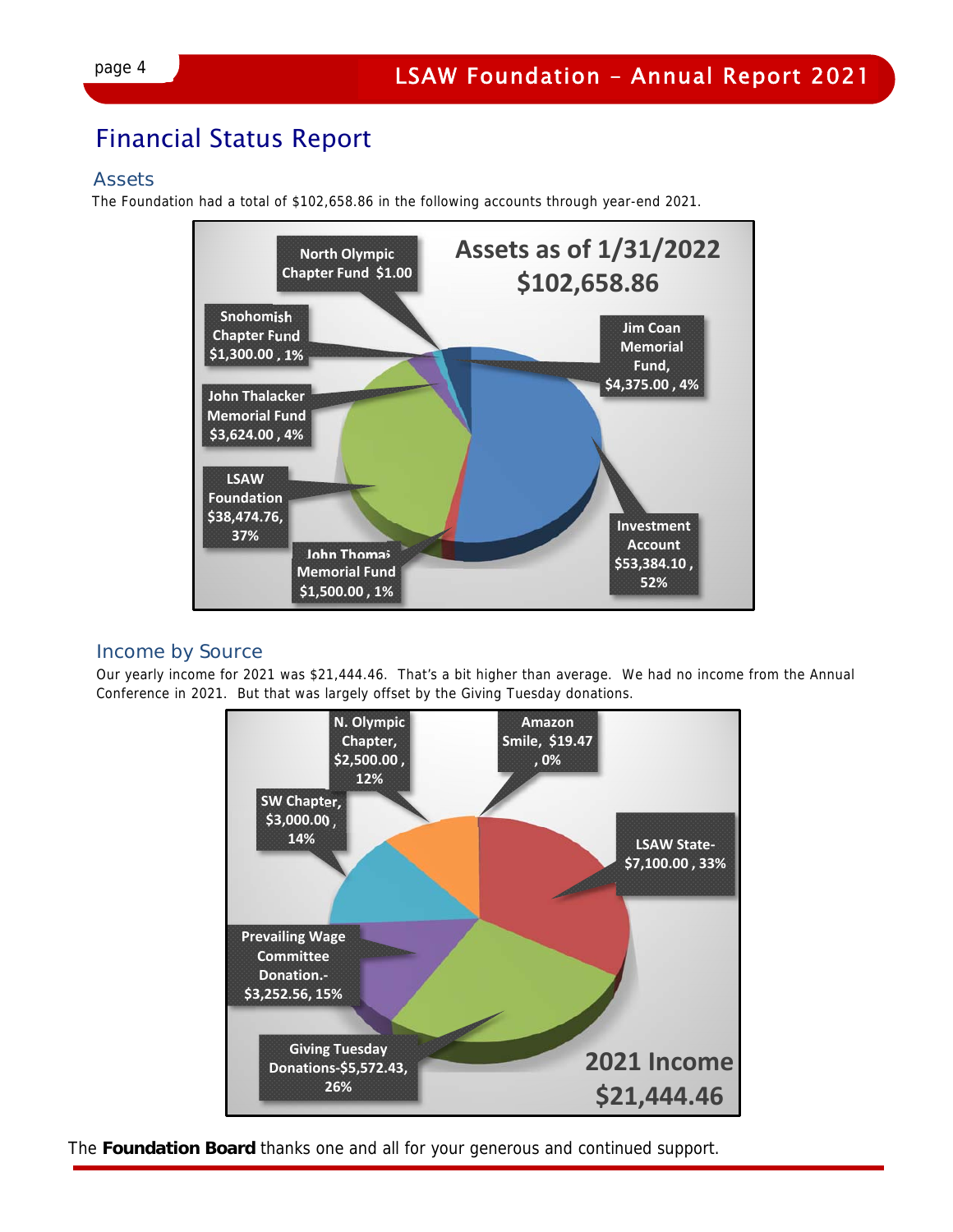### Financial Status Report

#### Assets

The Foundation had a total of \$102,658.86 in the following accounts through year-end 2021.



#### Income by Source

Our yearly income for 2021 was \$21,444.46. That's a bit higher than average. We had no income from the Annual Conference in 2021. But that was largely offset by the Giving Tuesday donations.



The **Foundation Board** thanks one and all for your generous and continued support.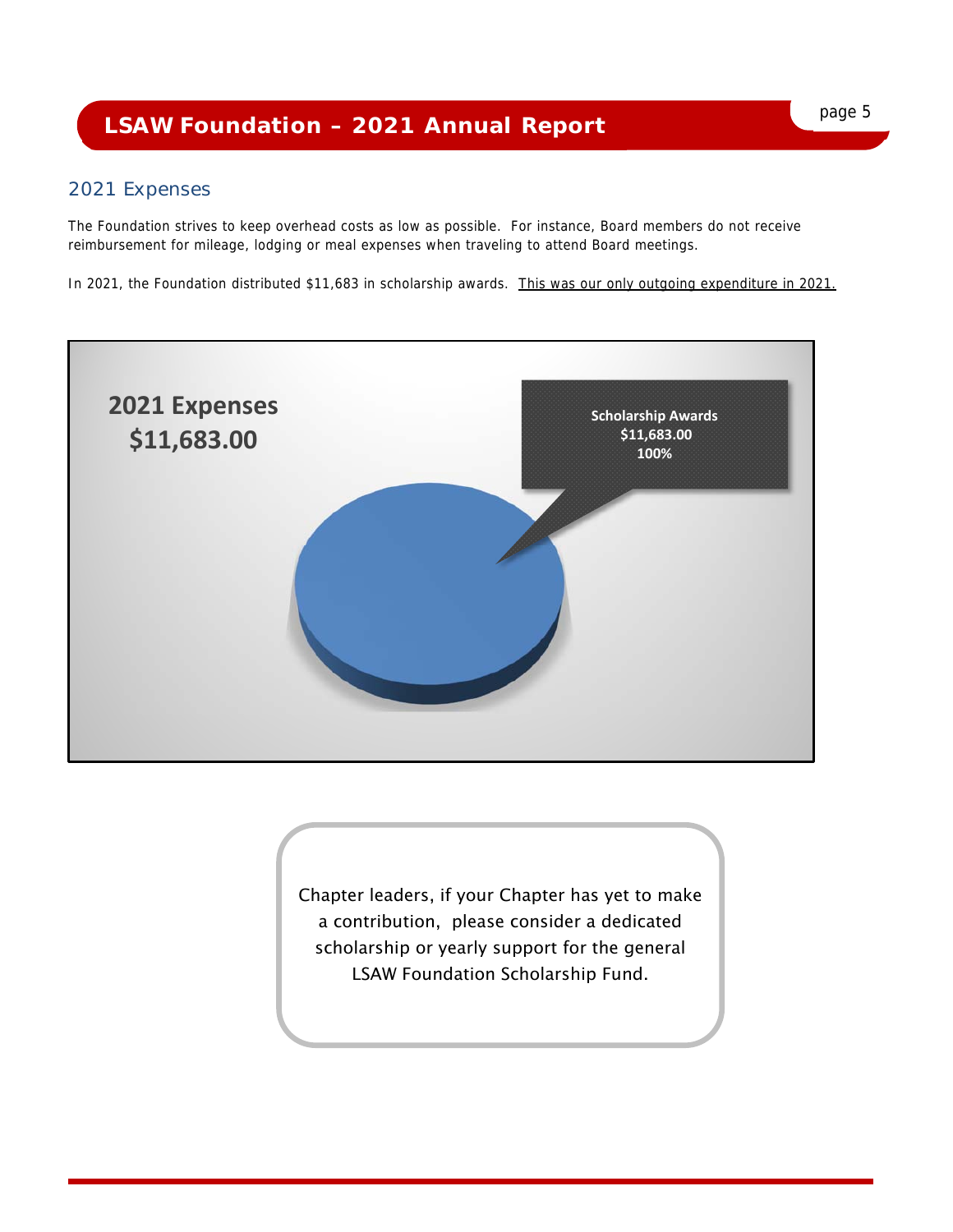## page 5 **LSAW Foundation – 2021 Annual Report**

#### 2021 Expenses

The Foundation strives to keep overhead costs as low as possible. For instance, Board members do not receive reimbursement for mileage, lodging or meal expenses when traveling to attend Board meetings.

In 2021, the Foundation distributed \$11,683 in scholarship awards. This was our only outgoing expenditure in 2021.



Chapter leaders, if your Chapter has yet to make a contribution, please consider a dedicated scholarship or yearly support for the general LSAW Foundation Scholarship Fund.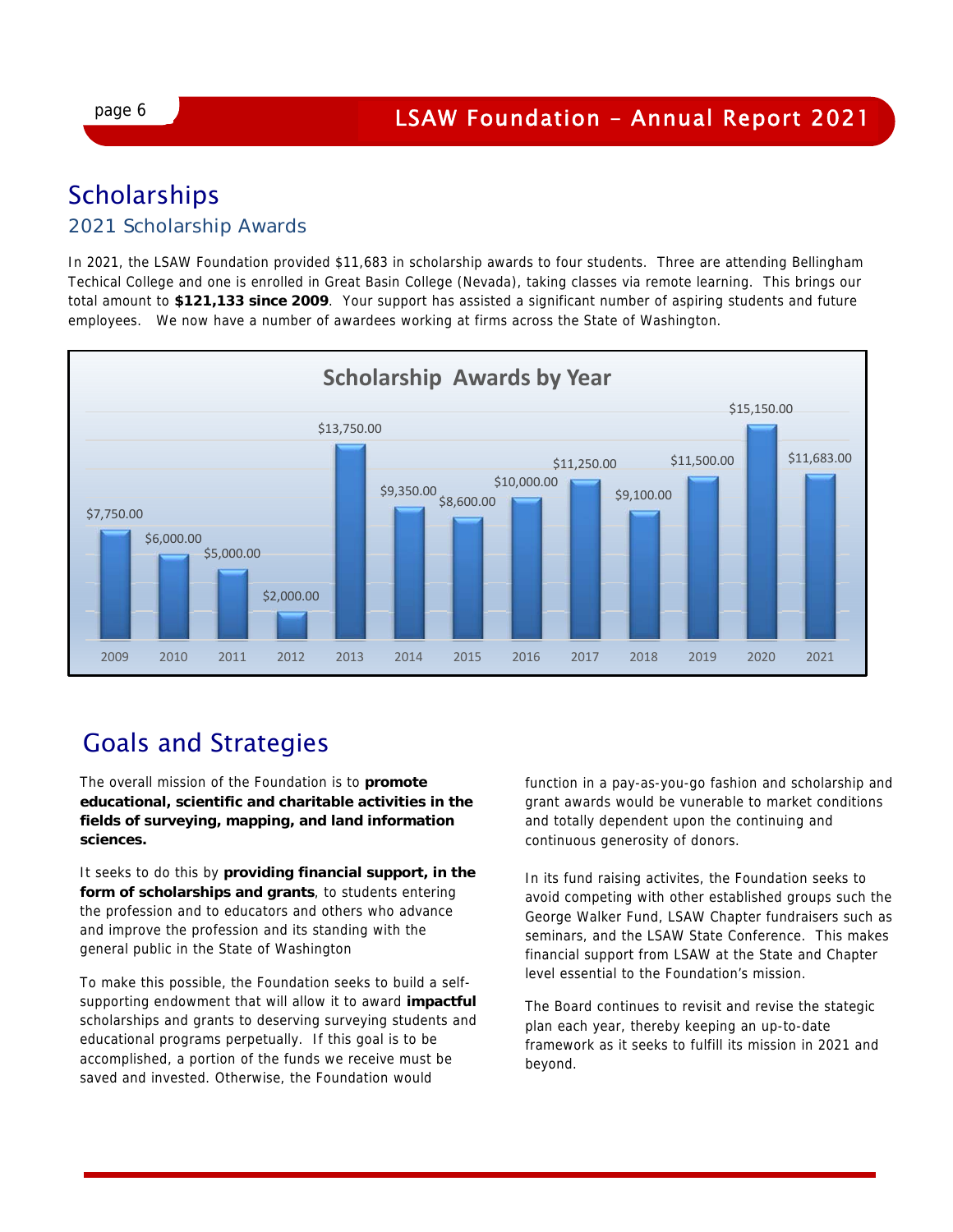### **Scholarships**

#### 2021 Scholarship Awards

In 2021, the LSAW Foundation provided \$11,683 in scholarship awards to four students. Three are attending Bellingham Techical College and one is enrolled in Great Basin College (Nevada), taking classes via remote learning. This brings our total amount to **\$121,133 since 2009**. Your support has assisted a significant number of aspiring students and future employees. We now have a number of awardees working at firms across the State of Washington.



### Goals and Strategies

The overall mission of the Foundation is to **promote educational, scientific and charitable activities in the fields of surveying, mapping, and land information sciences.**

It seeks to do this by **providing financial support, in the form of scholarships and grants**, to students entering the profession and to educators and others who advance and improve the profession and its standing with the general public in the State of Washington

To make this possible, the Foundation seeks to build a selfsupporting endowment that will allow it to award **impactful**  scholarships and grants to deserving surveying students and educational programs perpetually. If this goal is to be accomplished, a portion of the funds we receive must be saved and invested. Otherwise, the Foundation would

function in a pay-as-you-go fashion and scholarship and grant awards would be vunerable to market conditions and totally dependent upon the continuing and continuous generosity of donors.

In its fund raising activites, the Foundation seeks to avoid competing with other established groups such the George Walker Fund, LSAW Chapter fundraisers such as seminars, and the LSAW State Conference. This makes financial support from LSAW at the State and Chapter level essential to the Foundation's mission.

The Board continues to revisit and revise the stategic plan each year, thereby keeping an up-to-date framework as it seeks to fulfill its mission in 2021 and beyond.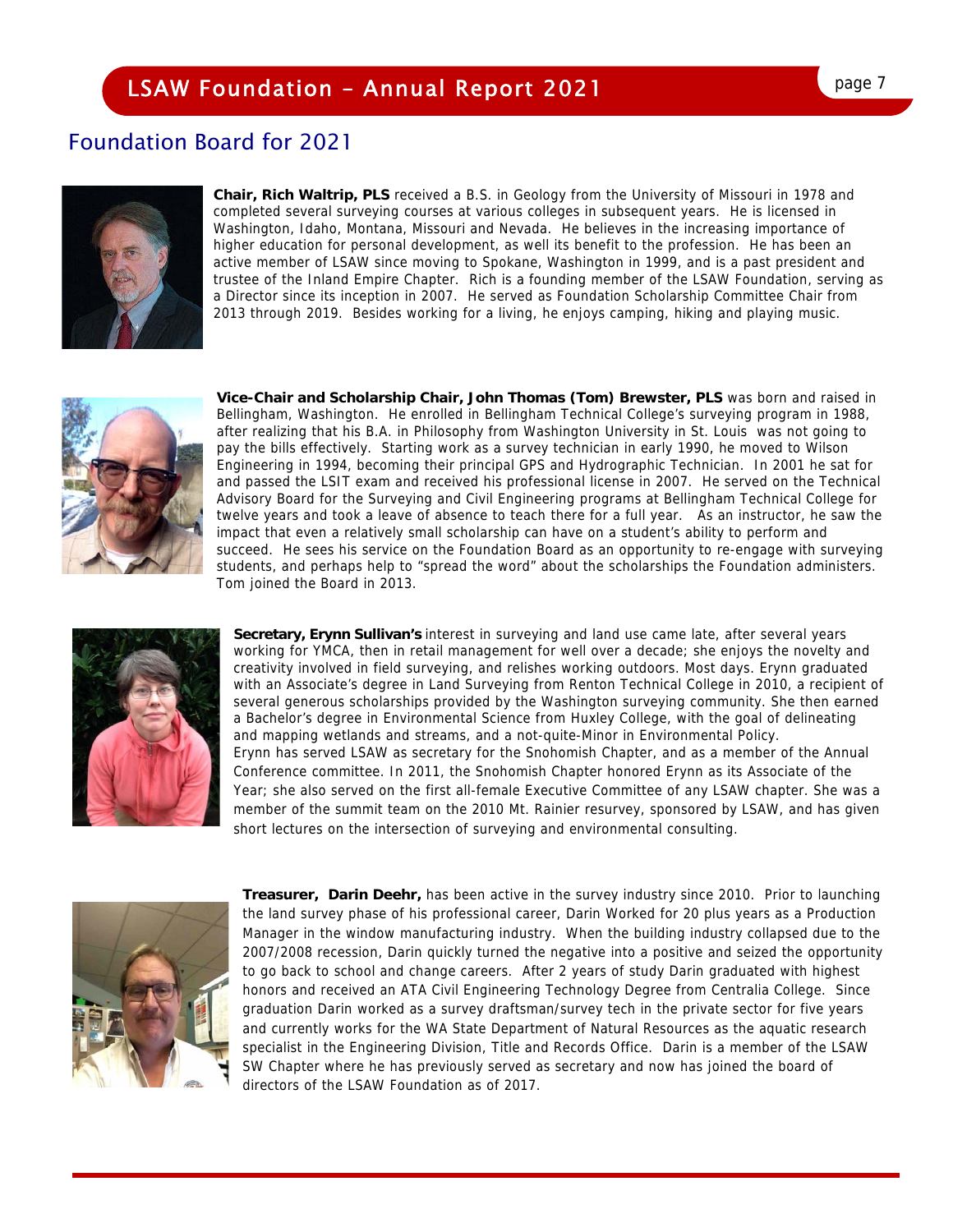### **LSAW Foundation - Annual Report 2021**

#### Foundation Board for 2021



**Chair, Rich Waltrip, PLS** received a B.S. in Geology from the University of Missouri in 1978 and completed several surveying courses at various colleges in subsequent years. He is licensed in Washington, Idaho, Montana, Missouri and Nevada. He believes in the increasing importance of higher education for personal development, as well its benefit to the profession. He has been an active member of LSAW since moving to Spokane, Washington in 1999, and is a past president and trustee of the Inland Empire Chapter. Rich is a founding member of the LSAW Foundation, serving as a Director since its inception in 2007. He served as Foundation Scholarship Committee Chair from 2013 through 2019. Besides working for a living, he enjoys camping, hiking and playing music.



**Vice-Chair and Scholarship Chair, John Thomas (Tom) Brewster, PLS** was born and raised in Bellingham, Washington. He enrolled in Bellingham Technical College's surveying program in 1988, after realizing that his B.A. in Philosophy from Washington University in St. Louis was not going to pay the bills effectively. Starting work as a survey technician in early 1990, he moved to Wilson Engineering in 1994, becoming their principal GPS and Hydrographic Technician. In 2001 he sat for and passed the LSIT exam and received his professional license in 2007. He served on the Technical Advisory Board for the Surveying and Civil Engineering programs at Bellingham Technical College for twelve years and took a leave of absence to teach there for a full year. As an instructor, he saw the impact that even a relatively small scholarship can have on a student's ability to perform and succeed. He sees his service on the Foundation Board as an opportunity to re-engage with surveying students, and perhaps help to "spread the word" about the scholarships the Foundation administers. Tom joined the Board in 2013.



**Secretary, Erynn Sullivan's** interest in surveying and land use came late, after several years working for YMCA, then in retail management for well over a decade; she enjoys the novelty and creativity involved in field surveying, and relishes working outdoors. Most days. Erynn graduated with an Associate's degree in Land Surveying from Renton Technical College in 2010, a recipient of several generous scholarships provided by the Washington surveying community. She then earned a Bachelor's degree in Environmental Science from Huxley College, with the goal of delineating and mapping wetlands and streams, and a not-quite-Minor in Environmental Policy. Erynn has served LSAW as secretary for the Snohomish Chapter, and as a member of the Annual Conference committee. In 2011, the Snohomish Chapter honored Erynn as its Associate of the Year; she also served on the first all-female Executive Committee of any LSAW chapter. She was a member of the summit team on the 2010 Mt. Rainier resurvey, sponsored by LSAW, and has given short lectures on the intersection of surveying and environmental consulting.



**Treasurer, Darin Deehr,** has been active in the survey industry since 2010. Prior to launching the land survey phase of his professional career, Darin Worked for 20 plus years as a Production Manager in the window manufacturing industry. When the building industry collapsed due to the 2007/2008 recession, Darin quickly turned the negative into a positive and seized the opportunity to go back to school and change careers. After 2 years of study Darin graduated with highest honors and received an ATA Civil Engineering Technology Degree from Centralia College. Since graduation Darin worked as a survey draftsman/survey tech in the private sector for five years and currently works for the WA State Department of Natural Resources as the aquatic research specialist in the Engineering Division, Title and Records Office. Darin is a member of the LSAW SW Chapter where he has previously served as secretary and now has joined the board of directors of the LSAW Foundation as of 2017.